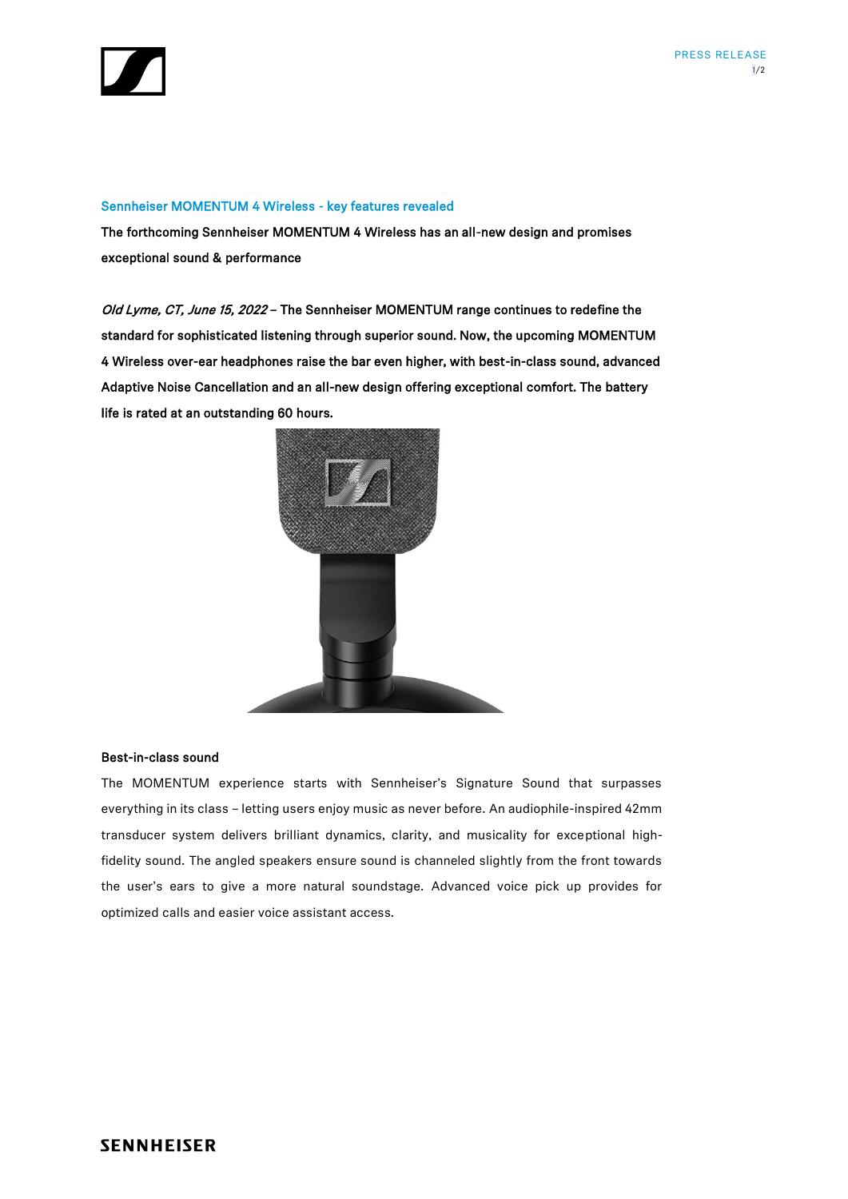

#### Sennheiser MOMENTUM 4 Wireless - key features revealed

The forthcoming Sennheiser MOMENTUM 4 Wireless has an all-new design and promises exceptional sound & performance

Old Lyme, CT, June 15, 2022 - The Sennheiser MOMENTUM range continues to redefine the standard for sophisticated listening through superior sound. Now, the upcoming MOMENTUM 4 Wireless over-ear headphones raise the bar even higher, with best-in-class sound, advanced Adaptive Noise Cancellation and an all-new design offering exceptional comfort. The battery life is rated at an outstanding 60 hours.



# Best-in-class sound

The MOMENTUM experience starts with Sennheiser's Signature Sound that surpasses everything in its class – letting users enjoy music as never before. An audiophile-inspired 42mm transducer system delivers brilliant dynamics, clarity, and musicality for exceptional highfidelity sound. The angled speakers ensure sound is channeled slightly from the front towards the user's ears to give a more natural soundstage. Advanced voice pick up provides for optimized calls and easier voice assistant access.